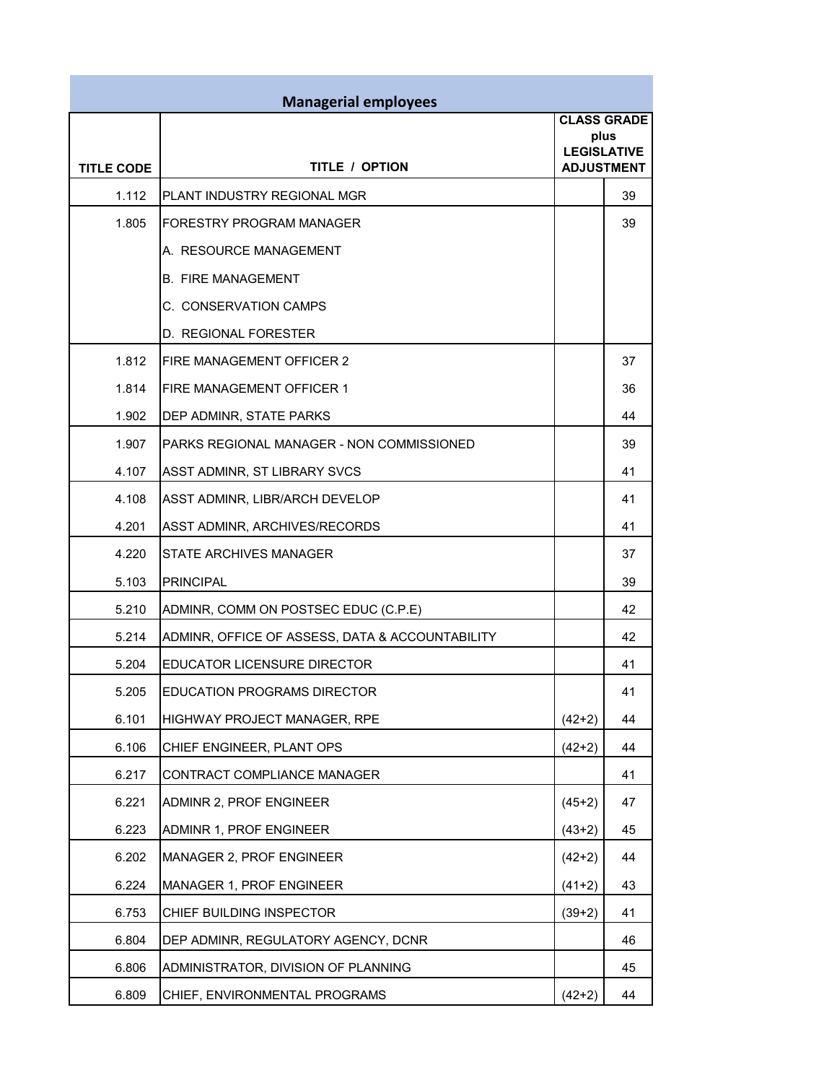|                   | <b>Managerial employees</b>                     |                            |                    |  |
|-------------------|-------------------------------------------------|----------------------------|--------------------|--|
|                   |                                                 | <b>CLASS GRADE</b><br>plus |                    |  |
|                   |                                                 |                            | <b>LEGISLATIVE</b> |  |
| <b>TITLE CODE</b> | <b>TITLE / OPTION</b>                           |                            | <b>ADJUSTMENT</b>  |  |
| 1.112             | PLANT INDUSTRY REGIONAL MGR                     |                            | 39                 |  |
| 1.805             | FORESTRY PROGRAM MANAGER                        |                            | 39                 |  |
|                   | A. RESOURCE MANAGEMENT                          |                            |                    |  |
|                   | <b>B. FIRE MANAGEMENT</b>                       |                            |                    |  |
|                   | C. CONSERVATION CAMPS                           |                            |                    |  |
|                   | D. REGIONAL FORESTER                            |                            |                    |  |
| 1.812             | <b>FIRE MANAGEMENT OFFICER 2</b>                |                            | 37                 |  |
| 1.814             | <b>FIRE MANAGEMENT OFFICER 1</b>                |                            | 36                 |  |
| 1.902             | DEP ADMINR, STATE PARKS                         |                            | 44                 |  |
| 1.907             | PARKS REGIONAL MANAGER - NON COMMISSIONED       |                            | 39                 |  |
| 4.107             | ASST ADMINR, ST LIBRARY SVCS                    |                            | 41                 |  |
| 4.108             | ASST ADMINR, LIBR/ARCH DEVELOP                  |                            | 41                 |  |
| 4.201             | ASST ADMINR, ARCHIVES/RECORDS                   |                            | 41                 |  |
| 4.220             | <b>STATE ARCHIVES MANAGER</b>                   |                            | 37                 |  |
| 5.103             | <b>PRINCIPAL</b>                                |                            | 39                 |  |
| 5.210             | ADMINR, COMM ON POSTSEC EDUC (C.P.E)            |                            | 42                 |  |
| 5.214             | ADMINR, OFFICE OF ASSESS, DATA & ACCOUNTABILITY |                            | 42                 |  |
| 5.204             | EDUCATOR LICENSURE DIRECTOR                     |                            | 41                 |  |
| 5.205             | <b>EDUCATION PROGRAMS DIRECTOR</b>              |                            | 41                 |  |
| 6.101             | HIGHWAY PROJECT MANAGER, RPE                    | $(42+2)$                   | 44                 |  |
| 6.106             | CHIEF ENGINEER, PLANT OPS                       | $(42+2)$                   | 44                 |  |
| 6.217             | CONTRACT COMPLIANCE MANAGER                     |                            | 41                 |  |
| 6.221             | ADMINR 2, PROF ENGINEER                         | $(45+2)$                   | 47                 |  |
| 6.223             | <b>ADMINR 1, PROF ENGINEER</b>                  | $(43+2)$                   | 45                 |  |
| 6.202             | MANAGER 2, PROF ENGINEER                        | $(42+2)$                   | 44                 |  |
| 6.224             | MANAGER 1, PROF ENGINEER                        | $(41+2)$                   | 43                 |  |
| 6.753             | CHIEF BUILDING INSPECTOR                        | $(39+2)$                   | 41                 |  |
| 6.804             | DEP ADMINR, REGULATORY AGENCY, DCNR             |                            | 46                 |  |
| 6.806             | ADMINISTRATOR, DIVISION OF PLANNING             |                            | 45                 |  |
| 6.809             | CHIEF, ENVIRONMENTAL PROGRAMS                   | $(42+2)$                   | 44                 |  |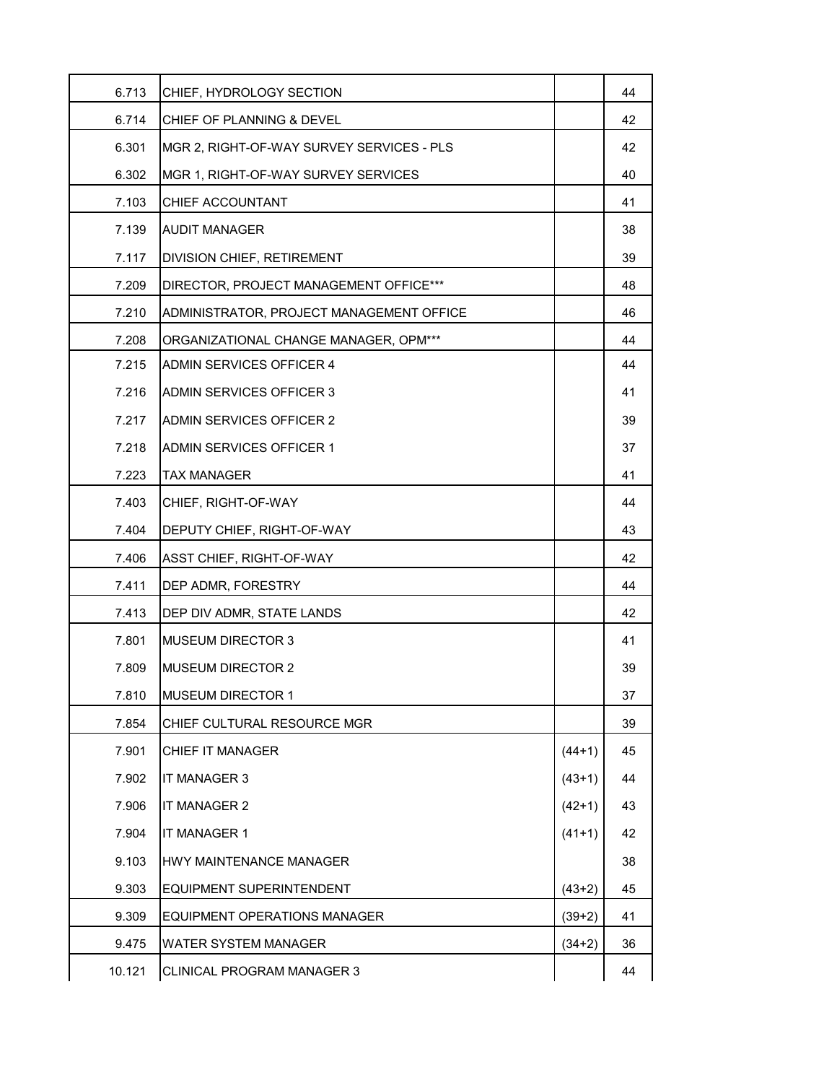| 6.713  | CHIEF, HYDROLOGY SECTION                  |          | 44 |
|--------|-------------------------------------------|----------|----|
| 6.714  | CHIEF OF PLANNING & DEVEL                 |          | 42 |
| 6.301  | MGR 2, RIGHT-OF-WAY SURVEY SERVICES - PLS |          | 42 |
| 6.302  | MGR 1, RIGHT-OF-WAY SURVEY SERVICES       |          | 40 |
| 7.103  | CHIEF ACCOUNTANT                          |          | 41 |
| 7.139  | <b>AUDIT MANAGER</b>                      |          | 38 |
| 7.117  | DIVISION CHIEF, RETIREMENT                |          | 39 |
| 7.209  | DIRECTOR, PROJECT MANAGEMENT OFFICE***    |          | 48 |
| 7.210  | ADMINISTRATOR, PROJECT MANAGEMENT OFFICE  |          | 46 |
| 7.208  | ORGANIZATIONAL CHANGE MANAGER, OPM***     |          | 44 |
| 7.215  | ADMIN SERVICES OFFICER 4                  |          | 44 |
| 7.216  | ADMIN SERVICES OFFICER 3                  |          | 41 |
| 7.217  | <b>ADMIN SERVICES OFFICER 2</b>           |          | 39 |
| 7.218  | <b>ADMIN SERVICES OFFICER 1</b>           |          | 37 |
| 7.223  | <b>TAX MANAGER</b>                        |          | 41 |
| 7.403  | CHIEF, RIGHT-OF-WAY                       |          | 44 |
| 7.404  | DEPUTY CHIEF, RIGHT-OF-WAY                |          | 43 |
| 7.406  | ASST CHIEF, RIGHT-OF-WAY                  |          | 42 |
| 7.411  | DEP ADMR, FORESTRY                        |          | 44 |
| 7.413  | DEP DIV ADMR, STATE LANDS                 |          | 42 |
| 7.801  | <b>MUSEUM DIRECTOR 3</b>                  |          | 41 |
| 7.809  | <b>MUSEUM DIRECTOR 2</b>                  |          | 39 |
| 7.810  | <b>MUSEUM DIRECTOR 1</b>                  |          | 37 |
| 7.854  | CHIEF CULTURAL RESOURCE MGR               |          | 39 |
| 7.901  | <b>CHIEF IT MANAGER</b>                   | $(44+1)$ | 45 |
| 7.902  | IT MANAGER 3                              | $(43+1)$ | 44 |
| 7.906  | IT MANAGER 2                              | $(42+1)$ | 43 |
| 7.904  | IT MANAGER 1                              | $(41+1)$ | 42 |
| 9.103  | HWY MAINTENANCE MANAGER                   |          | 38 |
| 9.303  | EQUIPMENT SUPERINTENDENT                  | $(43+2)$ | 45 |
| 9.309  | EQUIPMENT OPERATIONS MANAGER              | $(39+2)$ | 41 |
| 9.475  | <b>WATER SYSTEM MANAGER</b>               | $(34+2)$ | 36 |
| 10.121 | CLINICAL PROGRAM MANAGER 3                |          | 44 |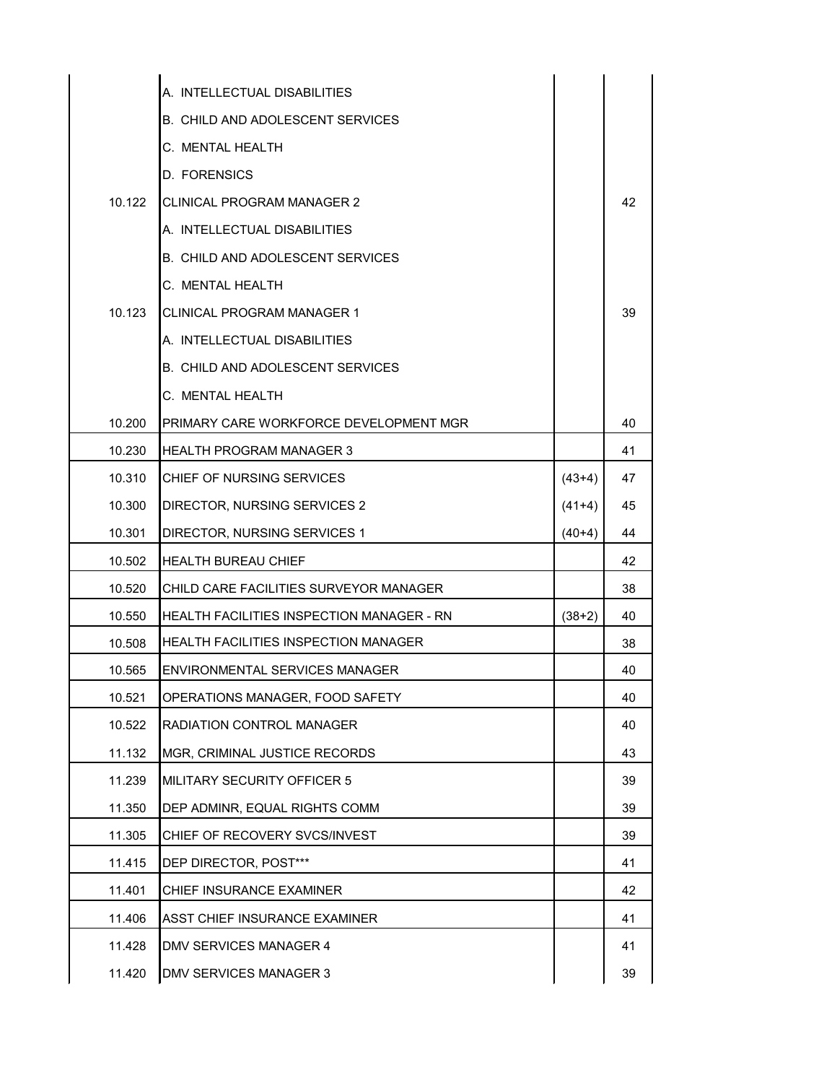|        | A. INTELLECTUAL DISABILITIES                     |          |    |
|--------|--------------------------------------------------|----------|----|
|        | <b>B. CHILD AND ADOLESCENT SERVICES</b>          |          |    |
|        | C. MENTAL HEALTH                                 |          |    |
|        | <b>D. FORENSICS</b>                              |          |    |
| 10.122 | ICLINICAL PROGRAM MANAGER 2                      |          | 42 |
|        | A. INTELLECTUAL DISABILITIES                     |          |    |
|        | <b>B. CHILD AND ADOLESCENT SERVICES</b>          |          |    |
|        | C. MENTAL HEALTH                                 |          |    |
| 10.123 | <b>CLINICAL PROGRAM MANAGER 1</b>                |          | 39 |
|        | A. INTELLECTUAL DISABILITIES                     |          |    |
|        | <b>B. CHILD AND ADOLESCENT SERVICES</b>          |          |    |
|        | C. MENTAL HEALTH                                 |          |    |
| 10.200 | PRIMARY CARE WORKFORCE DEVELOPMENT MGR           |          | 40 |
| 10.230 | <b>HEALTH PROGRAM MANAGER 3</b>                  |          | 41 |
| 10.310 | CHIEF OF NURSING SERVICES                        | $(43+4)$ | 47 |
| 10.300 | DIRECTOR, NURSING SERVICES 2                     | $(41+4)$ | 45 |
| 10.301 | DIRECTOR, NURSING SERVICES 1                     | $(40+4)$ | 44 |
| 10.502 | <b>HEALTH BUREAU CHIEF</b>                       |          | 42 |
| 10.520 | CHILD CARE FACILITIES SURVEYOR MANAGER           |          | 38 |
| 10.550 | <b>HEALTH FACILITIES INSPECTION MANAGER - RN</b> | $(38+2)$ | 40 |
| 10.508 | HEALTH FACILITIES INSPECTION MANAGER             |          | 38 |
| 10.565 | <b>ENVIRONMENTAL SERVICES MANAGER</b>            |          | 40 |
| 10.521 | OPERATIONS MANAGER, FOOD SAFETY                  |          | 40 |
| 10.522 | RADIATION CONTROL MANAGER                        |          | 40 |
| 11.132 | MGR, CRIMINAL JUSTICE RECORDS                    |          | 43 |
| 11.239 | MILITARY SECURITY OFFICER 5                      |          | 39 |
| 11.350 | DEP ADMINR, EQUAL RIGHTS COMM                    |          | 39 |
| 11.305 | CHIEF OF RECOVERY SVCS/INVEST                    |          | 39 |
| 11.415 | DEP DIRECTOR, POST***                            |          | 41 |
| 11.401 | CHIEF INSURANCE EXAMINER                         |          | 42 |
| 11.406 | ASST CHIEF INSURANCE EXAMINER                    |          | 41 |
| 11.428 | DMV SERVICES MANAGER 4                           |          | 41 |
| 11.420 | DMV SERVICES MANAGER 3                           |          | 39 |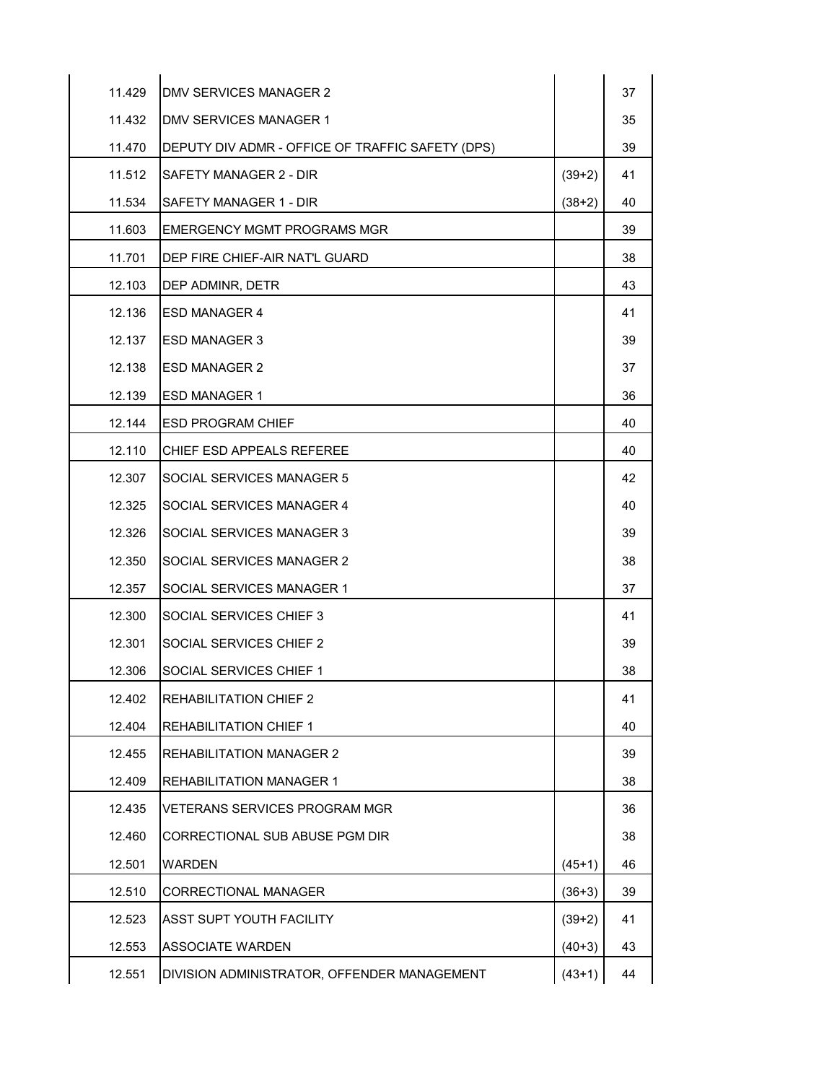| 11.429 | DMV SERVICES MANAGER 2                           |          | 37 |
|--------|--------------------------------------------------|----------|----|
| 11.432 | <b>DMV SERVICES MANAGER 1</b>                    |          | 35 |
| 11.470 | DEPUTY DIV ADMR - OFFICE OF TRAFFIC SAFETY (DPS) |          | 39 |
| 11.512 | SAFETY MANAGER 2 - DIR                           | $(39+2)$ | 41 |
| 11.534 | <b>SAFETY MANAGER 1 - DIR</b>                    | $(38+2)$ | 40 |
| 11.603 | EMERGENCY MGMT PROGRAMS MGR                      |          | 39 |
| 11.701 | DEP FIRE CHIEF-AIR NAT'L GUARD                   |          | 38 |
| 12.103 | DEP ADMINR, DETR                                 |          | 43 |
| 12.136 | <b>ESD MANAGER 4</b>                             |          | 41 |
| 12.137 | <b>ESD MANAGER 3</b>                             |          | 39 |
| 12.138 | <b>ESD MANAGER 2</b>                             |          | 37 |
| 12.139 | <b>ESD MANAGER 1</b>                             |          | 36 |
| 12.144 | <b>ESD PROGRAM CHIEF</b>                         |          | 40 |
| 12.110 | CHIEF ESD APPEALS REFEREE                        |          | 40 |
| 12.307 | SOCIAL SERVICES MANAGER 5                        |          | 42 |
| 12.325 | <b>SOCIAL SERVICES MANAGER 4</b>                 |          | 40 |
| 12.326 | SOCIAL SERVICES MANAGER 3                        |          | 39 |
| 12.350 | <b>SOCIAL SERVICES MANAGER 2</b>                 |          | 38 |
| 12.357 | SOCIAL SERVICES MANAGER 1                        |          | 37 |
| 12.300 | SOCIAL SERVICES CHIEF 3                          |          | 41 |
| 12.301 | <b>SOCIAL SERVICES CHIEF 2</b>                   |          | 39 |
| 12.306 | SOCIAL SERVICES CHIEF 1                          |          | 38 |
| 12.402 | <b>REHABILITATION CHIEF 2</b>                    |          | 41 |
| 12.404 | <b>REHABILITATION CHIEF 1</b>                    |          | 40 |
| 12.455 | <b>REHABILITATION MANAGER 2</b>                  |          | 39 |
| 12.409 | <b>REHABILITATION MANAGER 1</b>                  |          | 38 |
| 12.435 | <b>VETERANS SERVICES PROGRAM MGR</b>             |          | 36 |
| 12.460 | CORRECTIONAL SUB ABUSE PGM DIR                   |          | 38 |
| 12.501 | <b>WARDEN</b>                                    | $(45+1)$ | 46 |
| 12.510 | <b>CORRECTIONAL MANAGER</b>                      | $(36+3)$ | 39 |
| 12.523 | <b>ASST SUPT YOUTH FACILITY</b>                  | $(39+2)$ | 41 |
| 12.553 | <b>ASSOCIATE WARDEN</b>                          | $(40+3)$ | 43 |
| 12.551 | DIVISION ADMINISTRATOR, OFFENDER MANAGEMENT      | $(43+1)$ | 44 |